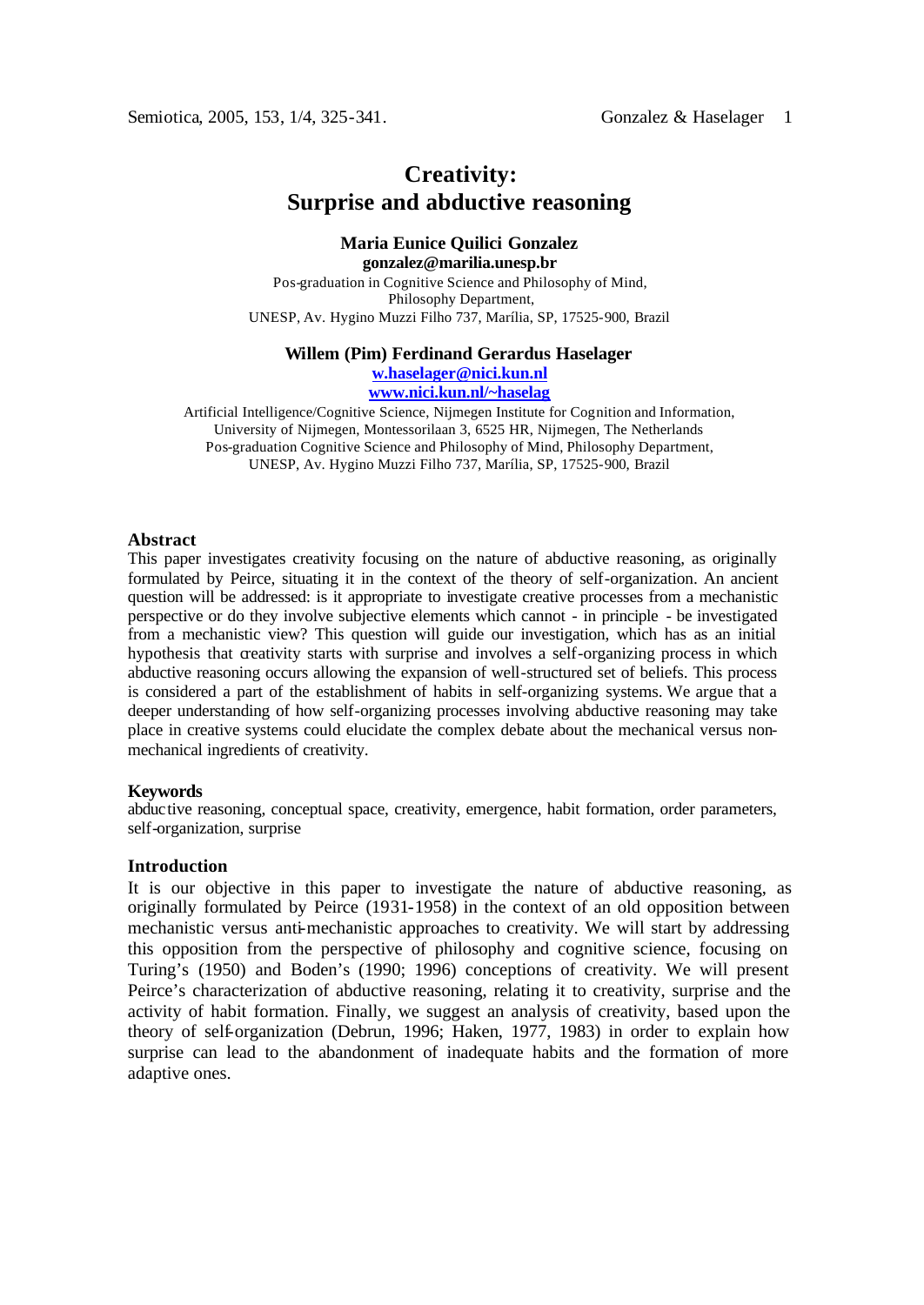# **Creativity: Surprise and abductive reasoning**

### **Maria Eunice Quilici Gonzalez gonzalez@marilia.unesp.br**

Pos-graduation in Cognitive Science and Philosophy of Mind, Philosophy Department, UNESP, Av. Hygino Muzzi Filho 737, Marília, SP, 17525-900, Brazil

## **Willem (Pim) Ferdinand Gerardus Haselager w.haselager@nici.kun.nl**

**www.nici.kun.nl/~haselag**

Artificial Intelligence/Cognitive Science, Nijmegen Institute for Cognition and Information, University of Nijmegen, Montessorilaan 3, 6525 HR, Nijmegen, The Netherlands Pos-graduation Cognitive Science and Philosophy of Mind, Philosophy Department, UNESP, Av. Hygino Muzzi Filho 737, Marília, SP, 17525-900, Brazil

#### **Abstract**

This paper investigates creativity focusing on the nature of abductive reasoning, as originally formulated by Peirce, situating it in the context of the theory of self-organization. An ancient question will be addressed: is it appropriate to investigate creative processes from a mechanistic perspective or do they involve subjective elements which cannot - in principle - be investigated from a mechanistic view? This question will guide our investigation, which has as an initial hypothesis that creativity starts with surprise and involves a self-organizing process in which abductive reasoning occurs allowing the expansion of well-structured set of beliefs. This process is considered a part of the establishment of habits in self-organizing systems. We argue that a deeper understanding of how self-organizing processes involving abductive reasoning may take place in creative systems could elucidate the complex debate about the mechanical versus nonmechanical ingredients of creativity.

## **Keywords**

abductive reasoning, conceptual space, creativity, emergence, habit formation, order parameters, self-organization, surprise

## **Introduction**

It is our objective in this paper to investigate the nature of abductive reasoning, as originally formulated by Peirce (1931-1958) in the context of an old opposition between mechanistic versus anti-mechanistic approaches to creativity. We will start by addressing this opposition from the perspective of philosophy and cognitive science, focusing on Turing's (1950) and Boden's (1990; 1996) conceptions of creativity. We will present Peirce's characterization of abductive reasoning, relating it to creativity, surprise and the activity of habit formation. Finally, we suggest an analysis of creativity, based upon the theory of self-organization (Debrun, 1996; Haken, 1977, 1983) in order to explain how surprise can lead to the abandonment of inadequate habits and the formation of more adaptive ones.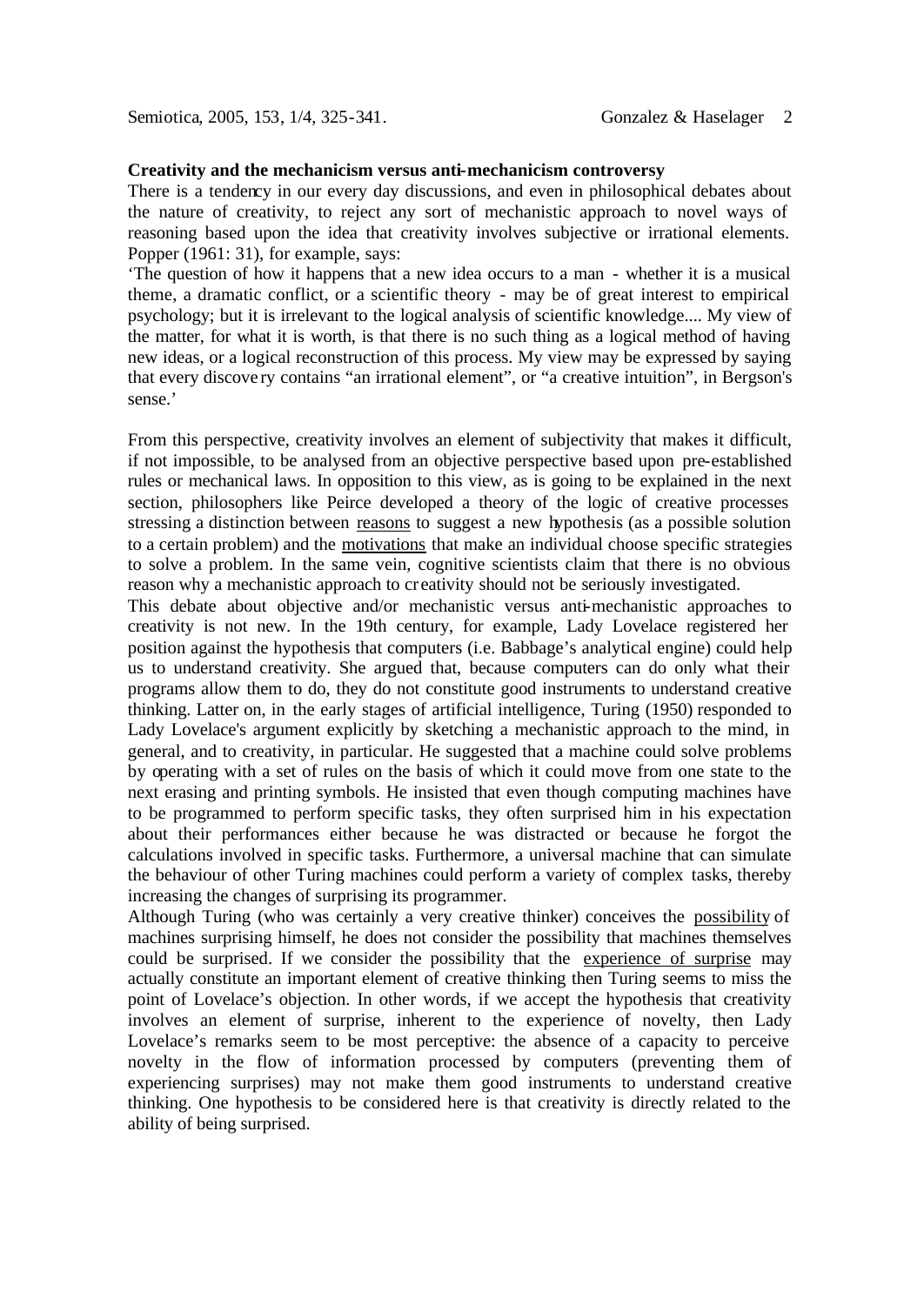## **Creativity and the mechanicism versus anti-mechanicism controversy**

There is a tendency in our every day discussions, and even in philosophical debates about the nature of creativity, to reject any sort of mechanistic approach to novel ways of reasoning based upon the idea that creativity involves subjective or irrational elements. Popper (1961: 31), for example, says:

'The question of how it happens that a new idea occurs to a man - whether it is a musical theme, a dramatic conflict, or a scientific theory - may be of great interest to empirical psychology; but it is irrelevant to the logical analysis of scientific knowledge.... My view of the matter, for what it is worth, is that there is no such thing as a logical method of having new ideas, or a logical reconstruction of this process. My view may be expressed by saying that every discove ry contains "an irrational element", or "a creative intuition", in Bergson's sense.'

From this perspective, creativity involves an element of subjectivity that makes it difficult, if not impossible, to be analysed from an objective perspective based upon pre-established rules or mechanical laws. In opposition to this view, as is going to be explained in the next section, philosophers like Peirce developed a theory of the logic of creative processes stressing a distinction between reasons to suggest a new hypothesis (as a possible solution to a certain problem) and the motivations that make an individual choose specific strategies to solve a problem. In the same vein, cognitive scientists claim that there is no obvious reason why a mechanistic approach to cr eativity should not be seriously investigated.

This debate about objective and/or mechanistic versus anti-mechanistic approaches to creativity is not new. In the 19th century, for example, Lady Lovelace registered her position against the hypothesis that computers (i.e. Babbage's analytical engine) could help us to understand creativity. She argued that, because computers can do only what their programs allow them to do, they do not constitute good instruments to understand creative thinking. Latter on, in the early stages of artificial intelligence, Turing (1950) responded to Lady Lovelace's argument explicitly by sketching a mechanistic approach to the mind, in general, and to creativity, in particular. He suggested that a machine could solve problems by operating with a set of rules on the basis of which it could move from one state to the next erasing and printing symbols. He insisted that even though computing machines have to be programmed to perform specific tasks, they often surprised him in his expectation about their performances either because he was distracted or because he forgot the calculations involved in specific tasks. Furthermore, a universal machine that can simulate the behaviour of other Turing machines could perform a variety of complex tasks, thereby increasing the changes of surprising its programmer.

Although Turing (who was certainly a very creative thinker) conceives the possibility of machines surprising himself, he does not consider the possibility that machines themselves could be surprised. If we consider the possibility that the experience of surprise may actually constitute an important element of creative thinking then Turing seems to miss the point of Lovelace's objection. In other words, if we accept the hypothesis that creativity involves an element of surprise, inherent to the experience of novelty, then Lady Lovelace's remarks seem to be most perceptive: the absence of a capacity to perceive novelty in the flow of information processed by computers (preventing them of experiencing surprises) may not make them good instruments to understand creative thinking. One hypothesis to be considered here is that creativity is directly related to the ability of being surprised.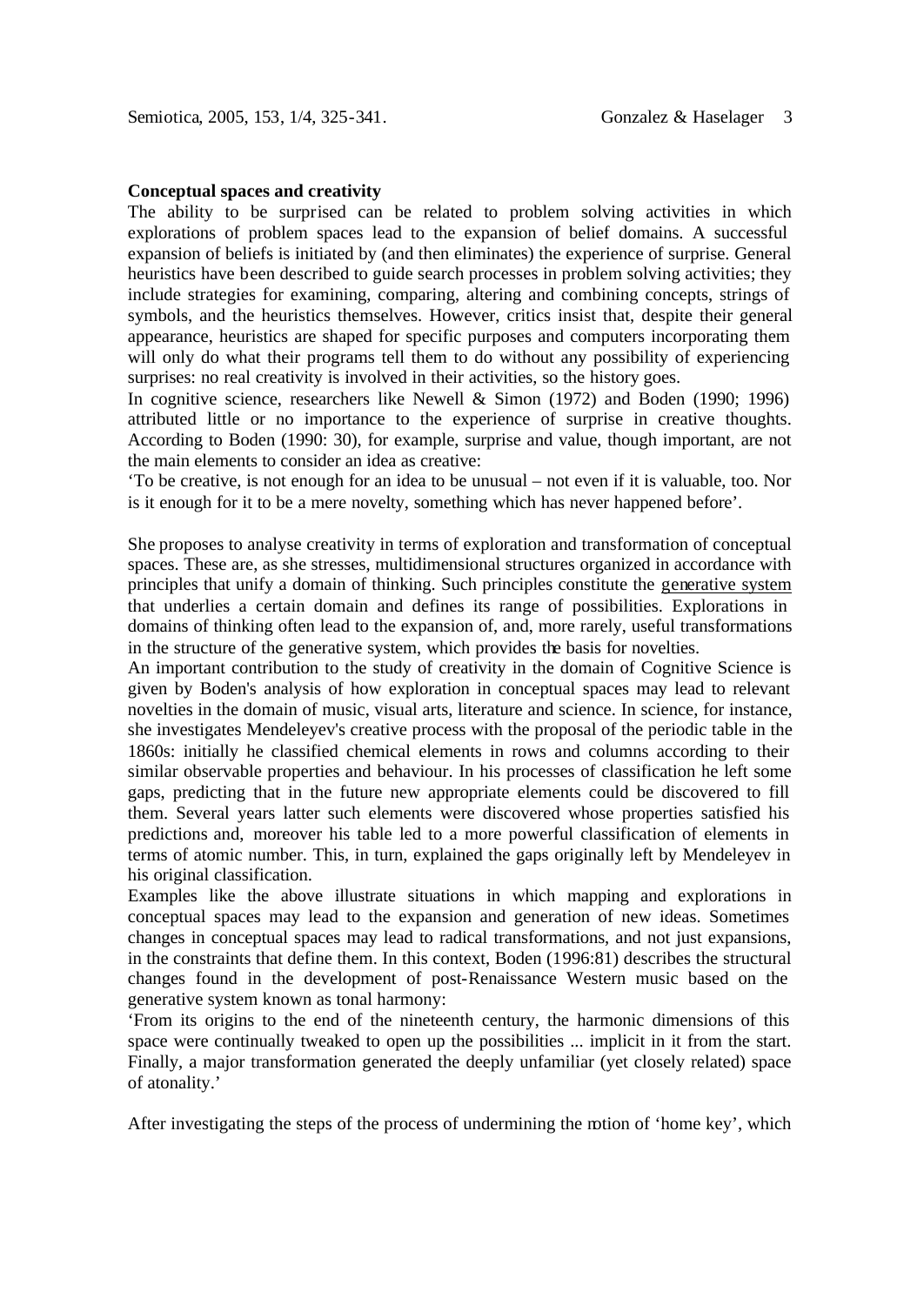### **Conceptual spaces and creativity**

The ability to be surprised can be related to problem solving activities in which explorations of problem spaces lead to the expansion of belief domains. A successful expansion of beliefs is initiated by (and then eliminates) the experience of surprise. General heuristics have been described to guide search processes in problem solving activities; they include strategies for examining, comparing, altering and combining concepts, strings of symbols, and the heuristics themselves. However, critics insist that, despite their general appearance, heuristics are shaped for specific purposes and computers incorporating them will only do what their programs tell them to do without any possibility of experiencing surprises: no real creativity is involved in their activities, so the history goes.

In cognitive science, researchers like Newell & Simon (1972) and Boden (1990; 1996) attributed little or no importance to the experience of surprise in creative thoughts. According to Boden (1990: 30), for example, surprise and value, though important, are not the main elements to consider an idea as creative:

'To be creative, is not enough for an idea to be unusual – not even if it is valuable, too. Nor is it enough for it to be a mere novelty, something which has never happened before'.

She proposes to analyse creativity in terms of exploration and transformation of conceptual spaces. These are, as she stresses, multidimensional structures organized in accordance with principles that unify a domain of thinking. Such principles constitute the generative system that underlies a certain domain and defines its range of possibilities. Explorations in domains of thinking often lead to the expansion of, and, more rarely, useful transformations in the structure of the generative system, which provides the basis for novelties.

An important contribution to the study of creativity in the domain of Cognitive Science is given by Boden's analysis of how exploration in conceptual spaces may lead to relevant novelties in the domain of music, visual arts, literature and science. In science, for instance, she investigates Mendeleyev's creative process with the proposal of the periodic table in the 1860s: initially he classified chemical elements in rows and columns according to their similar observable properties and behaviour. In his processes of classification he left some gaps, predicting that in the future new appropriate elements could be discovered to fill them. Several years latter such elements were discovered whose properties satisfied his predictions and, moreover his table led to a more powerful classification of elements in terms of atomic number. This, in turn, explained the gaps originally left by Mendeleyev in his original classification.

Examples like the above illustrate situations in which mapping and explorations in conceptual spaces may lead to the expansion and generation of new ideas. Sometimes changes in conceptual spaces may lead to radical transformations, and not just expansions, in the constraints that define them. In this context, Boden (1996:81) describes the structural changes found in the development of post-Renaissance Western music based on the generative system known as tonal harmony:

'From its origins to the end of the nineteenth century, the harmonic dimensions of this space were continually tweaked to open up the possibilities ... implicit in it from the start. Finally, a major transformation generated the deeply unfamiliar (yet closely related) space of atonality.'

After investigating the steps of the process of undermining the notion of 'home key', which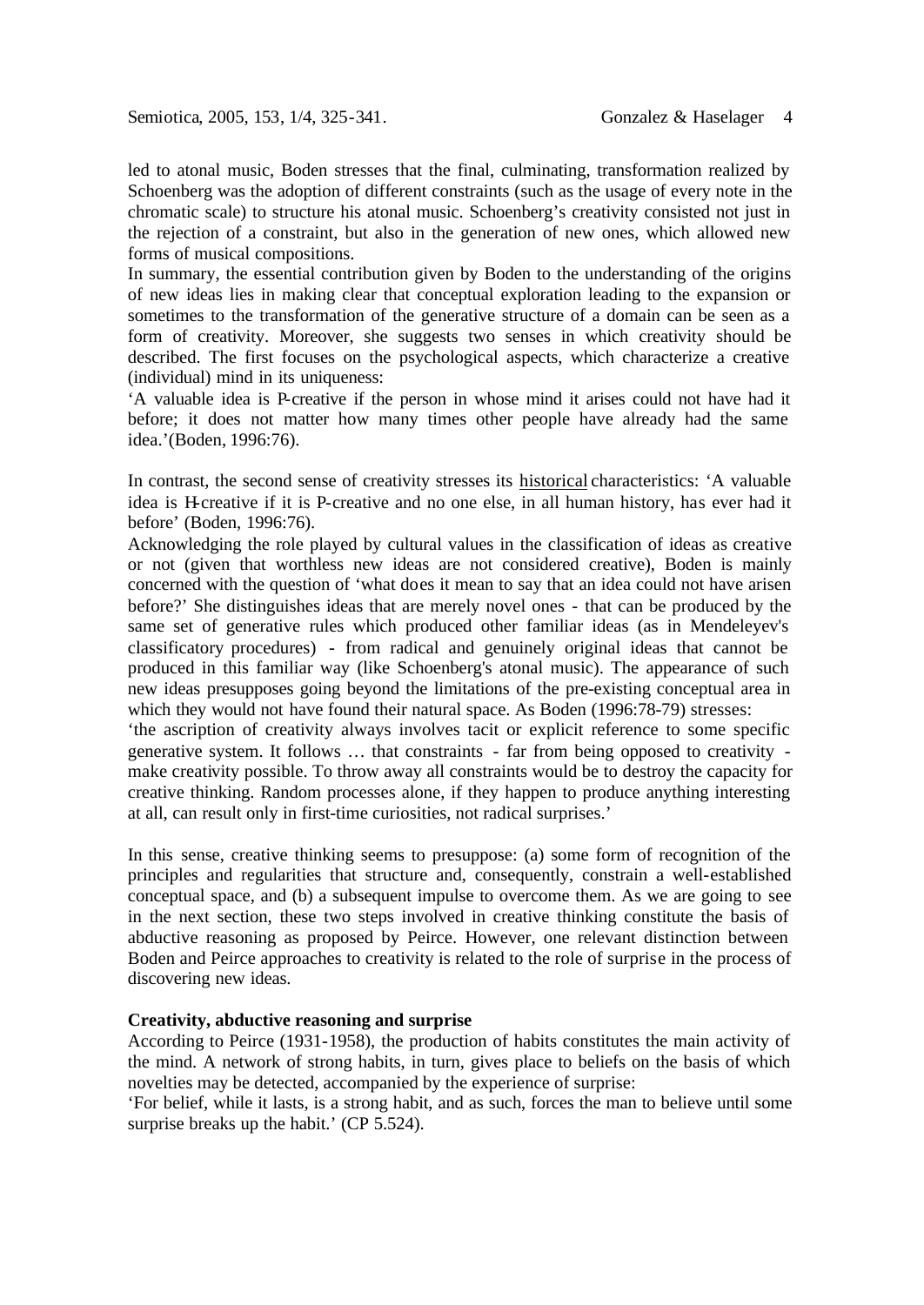led to atonal music, Boden stresses that the final, culminating, transformation realized by Schoenberg was the adoption of different constraints (such as the usage of every note in the chromatic scale) to structure his atonal music. Schoenberg's creativity consisted not just in the rejection of a constraint, but also in the generation of new ones, which allowed new forms of musical compositions.

In summary, the essential contribution given by Boden to the understanding of the origins of new ideas lies in making clear that conceptual exploration leading to the expansion or sometimes to the transformation of the generative structure of a domain can be seen as a form of creativity. Moreover, she suggests two senses in which creativity should be described. The first focuses on the psychological aspects, which characterize a creative (individual) mind in its uniqueness:

'A valuable idea is P-creative if the person in whose mind it arises could not have had it before; it does not matter how many times other people have already had the same idea.'(Boden, 1996:76).

In contrast, the second sense of creativity stresses its historical characteristics: 'A valuable idea is H-creative if it is P-creative and no one else, in all human history, has ever had it before' (Boden, 1996:76).

Acknowledging the role played by cultural values in the classification of ideas as creative or not (given that worthless new ideas are not considered creative), Boden is mainly concerned with the question of 'what does it mean to say that an idea could not have arisen before?' She distinguishes ideas that are merely novel ones - that can be produced by the same set of generative rules which produced other familiar ideas (as in Mendeleyev's classificatory procedures) - from radical and genuinely original ideas that cannot be produced in this familiar way (like Schoenberg's atonal music). The appearance of such new ideas presupposes going beyond the limitations of the pre-existing conceptual area in which they would not have found their natural space. As Boden (1996:78-79) stresses: 'the ascription of creativity always involves tacit or explicit reference to some specific

generative system. It follows … that constraints - far from being opposed to creativity make creativity possible. To throw away all constraints would be to destroy the capacity for creative thinking. Random processes alone, if they happen to produce anything interesting at all, can result only in first-time curiosities, not radical surprises.'

In this sense, creative thinking seems to presuppose: (a) some form of recognition of the principles and regularities that structure and, consequently, constrain a well-established conceptual space, and (b) a subsequent impulse to overcome them. As we are going to see in the next section, these two steps involved in creative thinking constitute the basis of abductive reasoning as proposed by Peirce. However, one relevant distinction between Boden and Peirce approaches to creativity is related to the role of surprise in the process of discovering new ideas.

#### **Creativity, abductive reasoning and surprise**

According to Peirce (1931-1958), the production of habits constitutes the main activity of the mind. A network of strong habits, in turn, gives place to beliefs on the basis of which novelties may be detected, accompanied by the experience of surprise:

'For belief, while it lasts, is a strong habit, and as such, forces the man to believe until some surprise breaks up the habit.' (CP 5.524).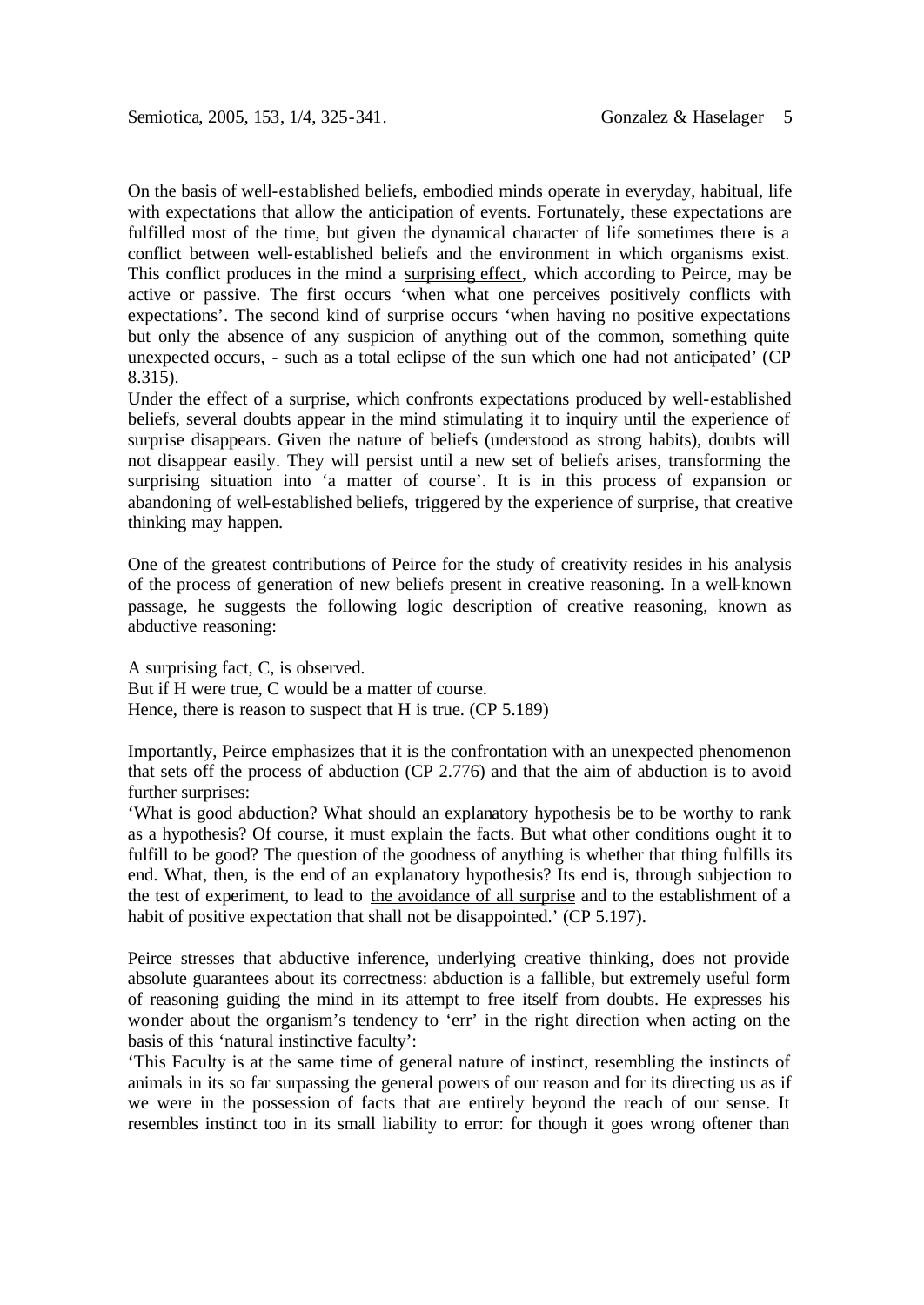On the basis of well-established beliefs, embodied minds operate in everyday, habitual, life with expectations that allow the anticipation of events. Fortunately, these expectations are fulfilled most of the time, but given the dynamical character of life sometimes there is a conflict between well-established beliefs and the environment in which organisms exist. This conflict produces in the mind a surprising effect, which according to Peirce, may be active or passive. The first occurs 'when what one perceives positively conflicts with expectations'. The second kind of surprise occurs 'when having no positive expectations but only the absence of any suspicion of anything out of the common, something quite unexpected occurs, - such as a total eclipse of the sun which one had not anticipated' (CP 8.315).

Under the effect of a surprise, which confronts expectations produced by well-established beliefs, several doubts appear in the mind stimulating it to inquiry until the experience of surprise disappears. Given the nature of beliefs (understood as strong habits), doubts will not disappear easily. They will persist until a new set of beliefs arises, transforming the surprising situation into 'a matter of course'. It is in this process of expansion or abandoning of well-established beliefs, triggered by the experience of surprise, that creative thinking may happen.

One of the greatest contributions of Peirce for the study of creativity resides in his analysis of the process of generation of new beliefs present in creative reasoning. In a well-known passage, he suggests the following logic description of creative reasoning, known as abductive reasoning:

A surprising fact, C, is observed. But if H were true, C would be a matter of course. Hence, there is reason to suspect that H is true. (CP 5.189)

Importantly, Peirce emphasizes that it is the confrontation with an unexpected phenomenon that sets off the process of abduction (CP 2.776) and that the aim of abduction is to avoid further surprises:

'What is good abduction? What should an explanatory hypothesis be to be worthy to rank as a hypothesis? Of course, it must explain the facts. But what other conditions ought it to fulfill to be good? The question of the goodness of anything is whether that thing fulfills its end. What, then, is the end of an explanatory hypothesis? Its end is, through subjection to the test of experiment, to lead to the avoidance of all surprise and to the establishment of a habit of positive expectation that shall not be disappointed.' (CP 5.197).

Peirce stresses that abductive inference, underlying creative thinking, does not provide absolute guarantees about its correctness: abduction is a fallible, but extremely useful form of reasoning guiding the mind in its attempt to free itself from doubts. He expresses his wonder about the organism's tendency to 'err' in the right direction when acting on the basis of this 'natural instinctive faculty':

'This Faculty is at the same time of general nature of instinct, resembling the instincts of animals in its so far surpassing the general powers of our reason and for its directing us as if we were in the possession of facts that are entirely beyond the reach of our sense. It resembles instinct too in its small liability to error: for though it goes wrong oftener than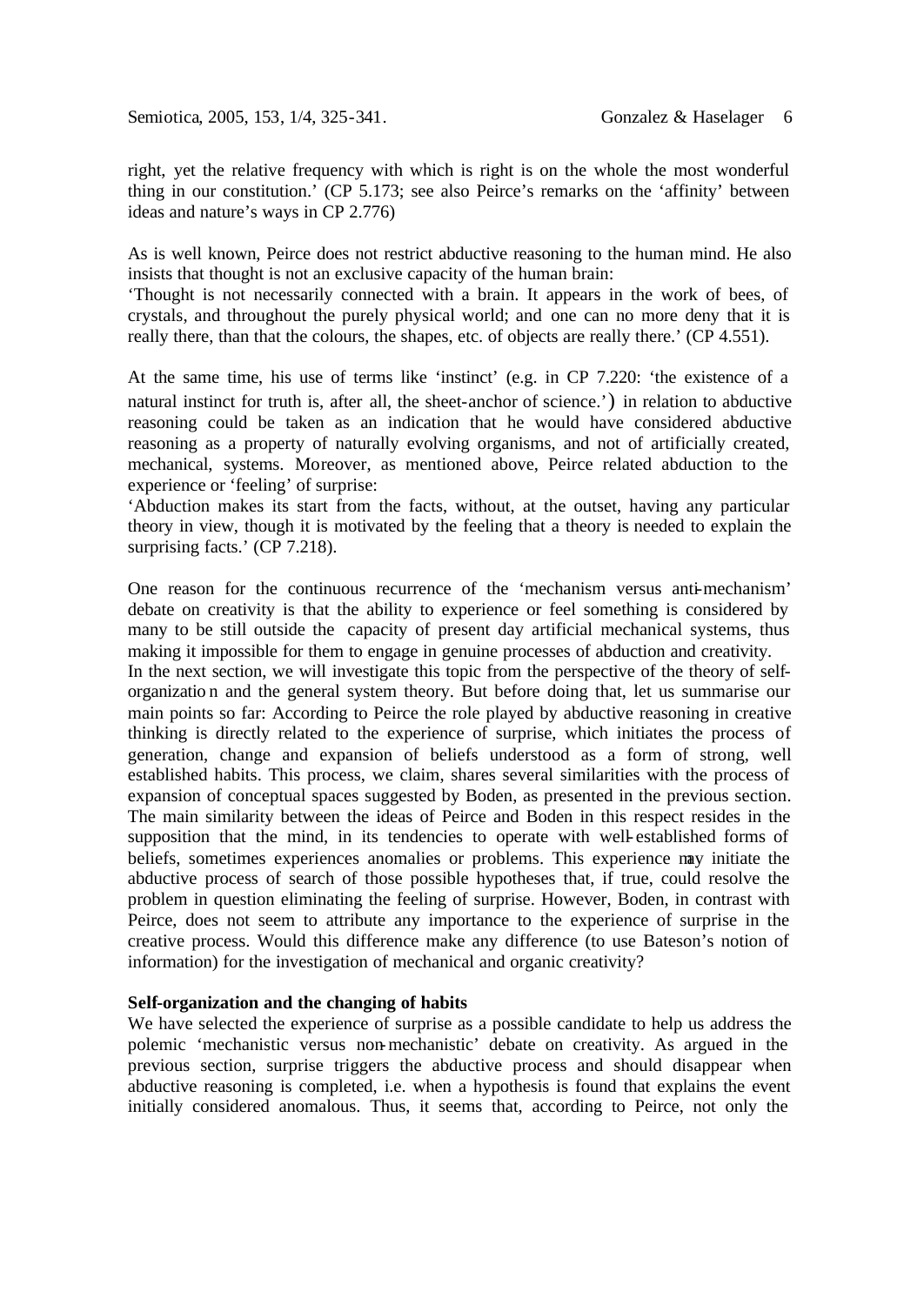right, yet the relative frequency with which is right is on the whole the most wonderful thing in our constitution.' (CP 5.173; see also Peirce's remarks on the 'affinity' between ideas and nature's ways in CP 2.776)

As is well known, Peirce does not restrict abductive reasoning to the human mind. He also insists that thought is not an exclusive capacity of the human brain:

'Thought is not necessarily connected with a brain. It appears in the work of bees, of crystals, and throughout the purely physical world; and one can no more deny that it is really there, than that the colours, the shapes, etc. of objects are really there.' (CP 4.551).

At the same time, his use of terms like 'instinct' (e.g. in CP 7.220: 'the existence of a natural instinct for truth is, after all, the sheet-anchor of science.') in relation to abductive reasoning could be taken as an indication that he would have considered abductive reasoning as a property of naturally evolving organisms, and not of artificially created, mechanical, systems. Moreover, as mentioned above, Peirce related abduction to the experience or 'feeling' of surprise:

'Abduction makes its start from the facts, without, at the outset, having any particular theory in view, though it is motivated by the feeling that a theory is needed to explain the surprising facts.' (CP 7.218).

One reason for the continuous recurrence of the 'mechanism versus anti-mechanism' debate on creativity is that the ability to experience or feel something is considered by many to be still outside the capacity of present day artificial mechanical systems, thus making it impossible for them to engage in genuine processes of abduction and creativity. In the next section, we will investigate this topic from the perspective of the theory of selforganizatio n and the general system theory. But before doing that, let us summarise our main points so far: According to Peirce the role played by abductive reasoning in creative thinking is directly related to the experience of surprise, which initiates the process of generation, change and expansion of beliefs understood as a form of strong, well established habits. This process, we claim, shares several similarities with the process of expansion of conceptual spaces suggested by Boden, as presented in the previous section. The main similarity between the ideas of Peirce and Boden in this respect resides in the supposition that the mind, in its tendencies to operate with well-established forms of beliefs, sometimes experiences anomalies or problems. This experience may initiate the abductive process of search of those possible hypotheses that, if true, could resolve the problem in question eliminating the feeling of surprise. However, Boden, in contrast with Peirce, does not seem to attribute any importance to the experience of surprise in the creative process. Would this difference make any difference (to use Bateson's notion of information) for the investigation of mechanical and organic creativity?

## **Self-organization and the changing of habits**

We have selected the experience of surprise as a possible candidate to help us address the polemic 'mechanistic versus non-mechanistic' debate on creativity. As argued in the previous section, surprise triggers the abductive process and should disappear when abductive reasoning is completed, i.e. when a hypothesis is found that explains the event initially considered anomalous. Thus, it seems that, according to Peirce, not only the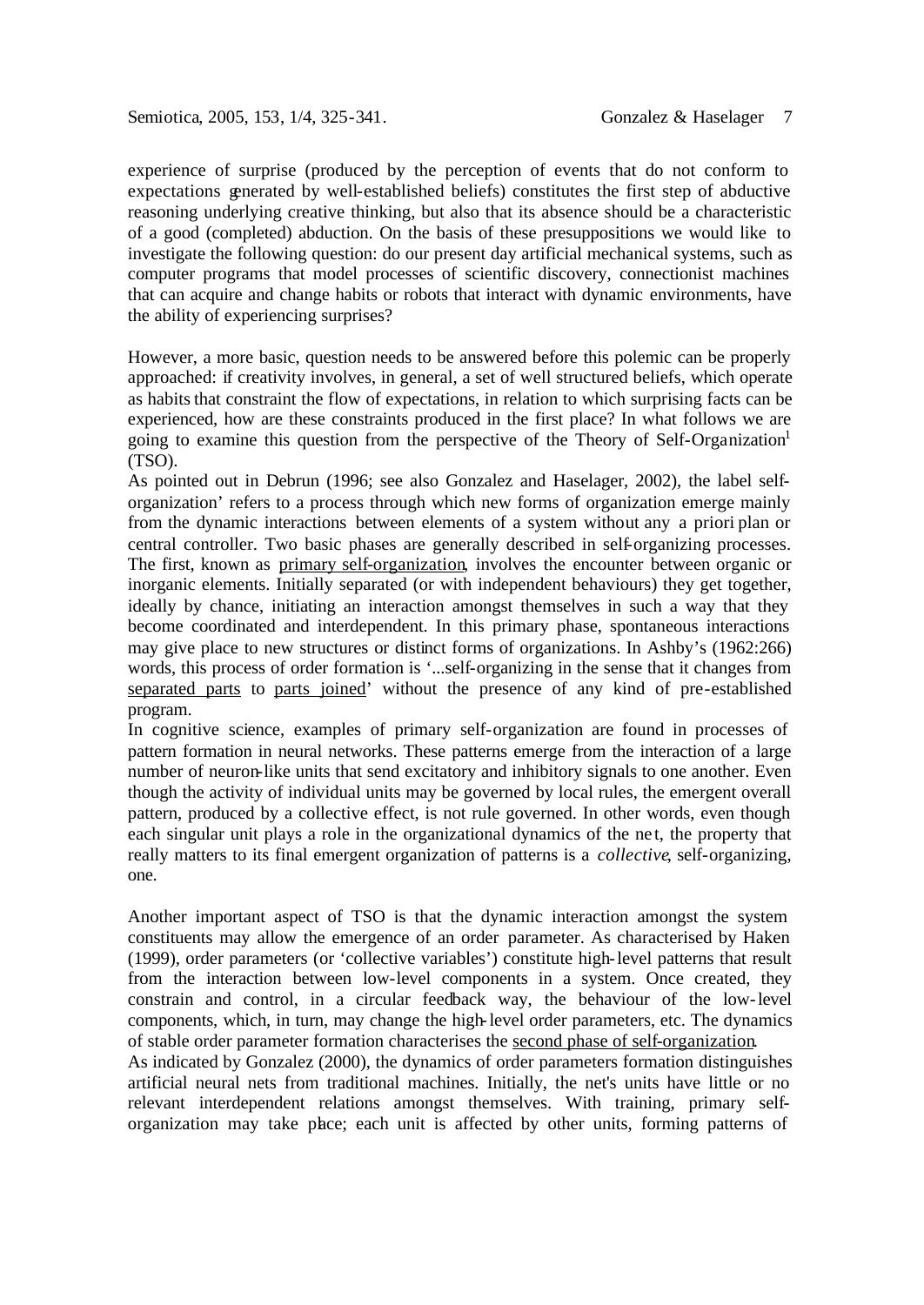experience of surprise (produced by the perception of events that do not conform to expectations generated by well-established beliefs) constitutes the first step of abductive reasoning underlying creative thinking, but also that its absence should be a characteristic of a good (completed) abduction. On the basis of these presuppositions we would like to investigate the following question: do our present day artificial mechanical systems, such as computer programs that model processes of scientific discovery, connectionist machines that can acquire and change habits or robots that interact with dynamic environments, have the ability of experiencing surprises?

However, a more basic, question needs to be answered before this polemic can be properly approached: if creativity involves, in general, a set of well structured beliefs, which operate as habits that constraint the flow of expectations, in relation to which surprising facts can be experienced, how are these constraints produced in the first place? In what follows we are going to examine this question from the perspective of the Theory of Self-Organization<sup>1</sup> (TSO).

As pointed out in Debrun (1996; see also Gonzalez and Haselager, 2002), the label selforganization' refers to a process through which new forms of organization emerge mainly from the dynamic interactions between elements of a system without any a priori plan or central controller. Two basic phases are generally described in self-organizing processes. The first, known as primary self-organization, involves the encounter between organic or inorganic elements. Initially separated (or with independent behaviours) they get together, ideally by chance, initiating an interaction amongst themselves in such a way that they become coordinated and interdependent. In this primary phase, spontaneous interactions may give place to new structures or distinct forms of organizations. In Ashby's (1962:266) words, this process of order formation is '...self-organizing in the sense that it changes from separated parts to parts joined' without the presence of any kind of pre-established program.

In cognitive science, examples of primary self-organization are found in processes of pattern formation in neural networks. These patterns emerge from the interaction of a large number of neuron-like units that send excitatory and inhibitory signals to one another. Even though the activity of individual units may be governed by local rules, the emergent overall pattern, produced by a collective effect, is not rule governed. In other words, even though each singular unit plays a role in the organizational dynamics of the ne t, the property that really matters to its final emergent organization of patterns is a *collective*, self-organizing, one.

Another important aspect of TSO is that the dynamic interaction amongst the system constituents may allow the emergence of an order parameter. As characterised by Haken (1999), order parameters (or 'collective variables') constitute high-level patterns that result from the interaction between low-level components in a system. Once created, they constrain and control, in a circular feedback way, the behaviour of the low-level components, which, in turn, may change the high-level order parameters, etc. The dynamics of stable order parameter formation characterises the second phase of self-organization.

As indicated by Gonzalez (2000), the dynamics of order parameters formation distinguishes artificial neural nets from traditional machines. Initially, the net's units have little or no relevant interdependent relations amongst themselves. With training, primary selforganization may take place; each unit is affected by other units, forming patterns of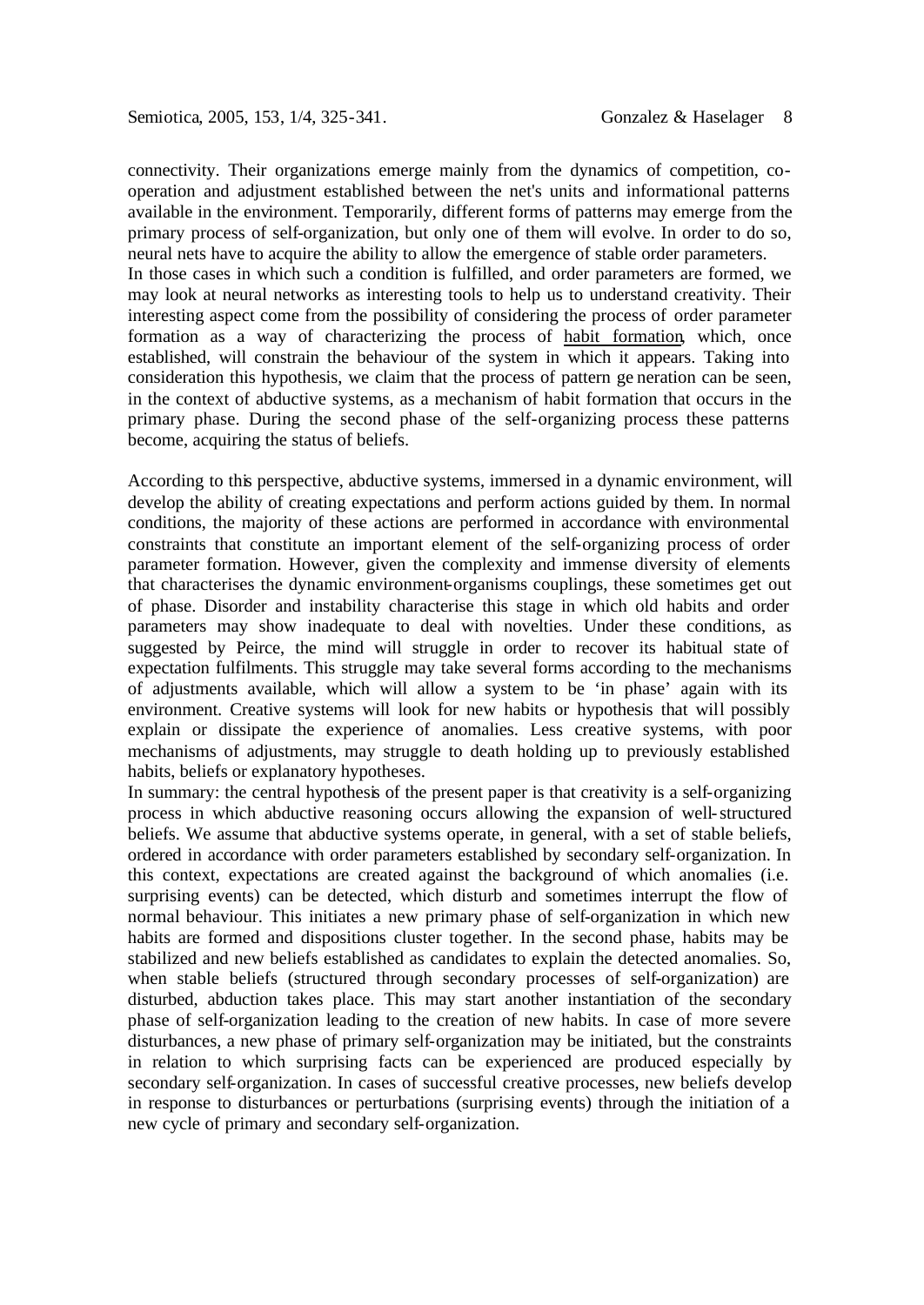connectivity. Their organizations emerge mainly from the dynamics of competition, cooperation and adjustment established between the net's units and informational patterns available in the environment. Temporarily, different forms of patterns may emerge from the primary process of self-organization, but only one of them will evolve. In order to do so, neural nets have to acquire the ability to allow the emergence of stable order parameters. In those cases in which such a condition is fulfilled, and order parameters are formed, we may look at neural networks as interesting tools to help us to understand creativity. Their interesting aspect come from the possibility of considering the process of order parameter formation as a way of characterizing the process of habit formation, which, once established, will constrain the behaviour of the system in which it appears. Taking into consideration this hypothesis, we claim that the process of pattern ge neration can be seen, in the context of abductive systems, as a mechanism of habit formation that occurs in the primary phase. During the second phase of the self-organizing process these patterns become, acquiring the status of beliefs.

According to this perspective, abductive systems, immersed in a dynamic environment, will develop the ability of creating expectations and perform actions guided by them. In normal conditions, the majority of these actions are performed in accordance with environmental constraints that constitute an important element of the self-organizing process of order parameter formation. However, given the complexity and immense diversity of elements that characterises the dynamic environment-organisms couplings, these sometimes get out of phase. Disorder and instability characterise this stage in which old habits and order parameters may show inadequate to deal with novelties. Under these conditions, as suggested by Peirce, the mind will struggle in order to recover its habitual state of expectation fulfilments. This struggle may take several forms according to the mechanisms of adjustments available, which will allow a system to be 'in phase' again with its environment. Creative systems will look for new habits or hypothesis that will possibly explain or dissipate the experience of anomalies. Less creative systems, with poor mechanisms of adjustments, may struggle to death holding up to previously established habits, beliefs or explanatory hypotheses.

In summary: the central hypothesis of the present paper is that creativity is a self-organizing process in which abductive reasoning occurs allowing the expansion of well-structured beliefs. We assume that abductive systems operate, in general, with a set of stable beliefs, ordered in accordance with order parameters established by secondary self-organization. In this context, expectations are created against the background of which anomalies (i.e. surprising events) can be detected, which disturb and sometimes interrupt the flow of normal behaviour. This initiates a new primary phase of self-organization in which new habits are formed and dispositions cluster together. In the second phase, habits may be stabilized and new beliefs established as candidates to explain the detected anomalies. So, when stable beliefs (structured through secondary processes of self-organization) are disturbed, abduction takes place. This may start another instantiation of the secondary phase of self-organization leading to the creation of new habits. In case of more severe disturbances, a new phase of primary self-organization may be initiated, but the constraints in relation to which surprising facts can be experienced are produced especially by secondary self-organization. In cases of successful creative processes, new beliefs develop in response to disturbances or perturbations (surprising events) through the initiation of a new cycle of primary and secondary self-organization.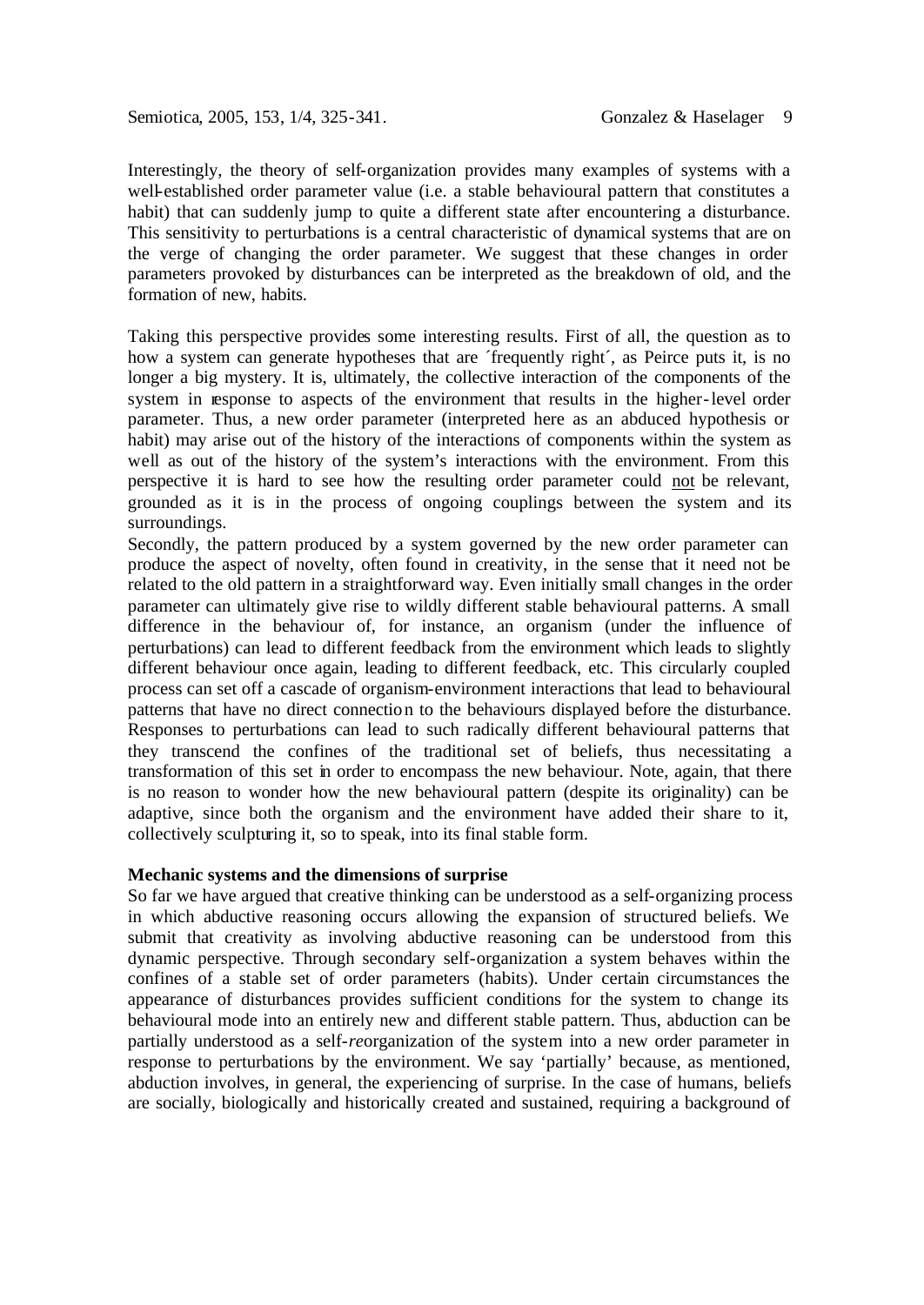Interestingly, the theory of self-organization provides many examples of systems with a well-established order parameter value (i.e. a stable behavioural pattern that constitutes a habit) that can suddenly jump to quite a different state after encountering a disturbance. This sensitivity to perturbations is a central characteristic of dynamical systems that are on the verge of changing the order parameter. We suggest that these changes in order parameters provoked by disturbances can be interpreted as the breakdown of old, and the formation of new, habits.

Taking this perspective provides some interesting results. First of all, the question as to how a system can generate hypotheses that are 'frequently right', as Peirce puts it, is no longer a big mystery. It is, ultimately, the collective interaction of the components of the system in response to aspects of the environment that results in the higher-level order parameter. Thus, a new order parameter (interpreted here as an abduced hypothesis or habit) may arise out of the history of the interactions of components within the system as well as out of the history of the system's interactions with the environment. From this perspective it is hard to see how the resulting order parameter could not be relevant, grounded as it is in the process of ongoing couplings between the system and its surroundings.

Secondly, the pattern produced by a system governed by the new order parameter can produce the aspect of novelty, often found in creativity, in the sense that it need not be related to the old pattern in a straightforward way. Even initially small changes in the order parameter can ultimately give rise to wildly different stable behavioural patterns. A small difference in the behaviour of, for instance, an organism (under the influence of perturbations) can lead to different feedback from the environment which leads to slightly different behaviour once again, leading to different feedback, etc. This circularly coupled process can set off a cascade of organism-environment interactions that lead to behavioural patterns that have no direct connection to the behaviours displayed before the disturbance. Responses to perturbations can lead to such radically different behavioural patterns that they transcend the confines of the traditional set of beliefs, thus necessitating a transformation of this set in order to encompass the new behaviour. Note, again, that there is no reason to wonder how the new behavioural pattern (despite its originality) can be adaptive, since both the organism and the environment have added their share to it, collectively sculpturing it, so to speak, into its final stable form.

#### **Mechanic systems and the dimensions of surprise**

So far we have argued that creative thinking can be understood as a self-organizing process in which abductive reasoning occurs allowing the expansion of structured beliefs. We submit that creativity as involving abductive reasoning can be understood from this dynamic perspective. Through secondary self-organization a system behaves within the confines of a stable set of order parameters (habits). Under certain circumstances the appearance of disturbances provides sufficient conditions for the system to change its behavioural mode into an entirely new and different stable pattern. Thus, abduction can be partially understood as a self-*re*organization of the system into a new order parameter in response to perturbations by the environment. We say 'partially' because, as mentioned, abduction involves, in general, the experiencing of surprise. In the case of humans, beliefs are socially, biologically and historically created and sustained, requiring a background of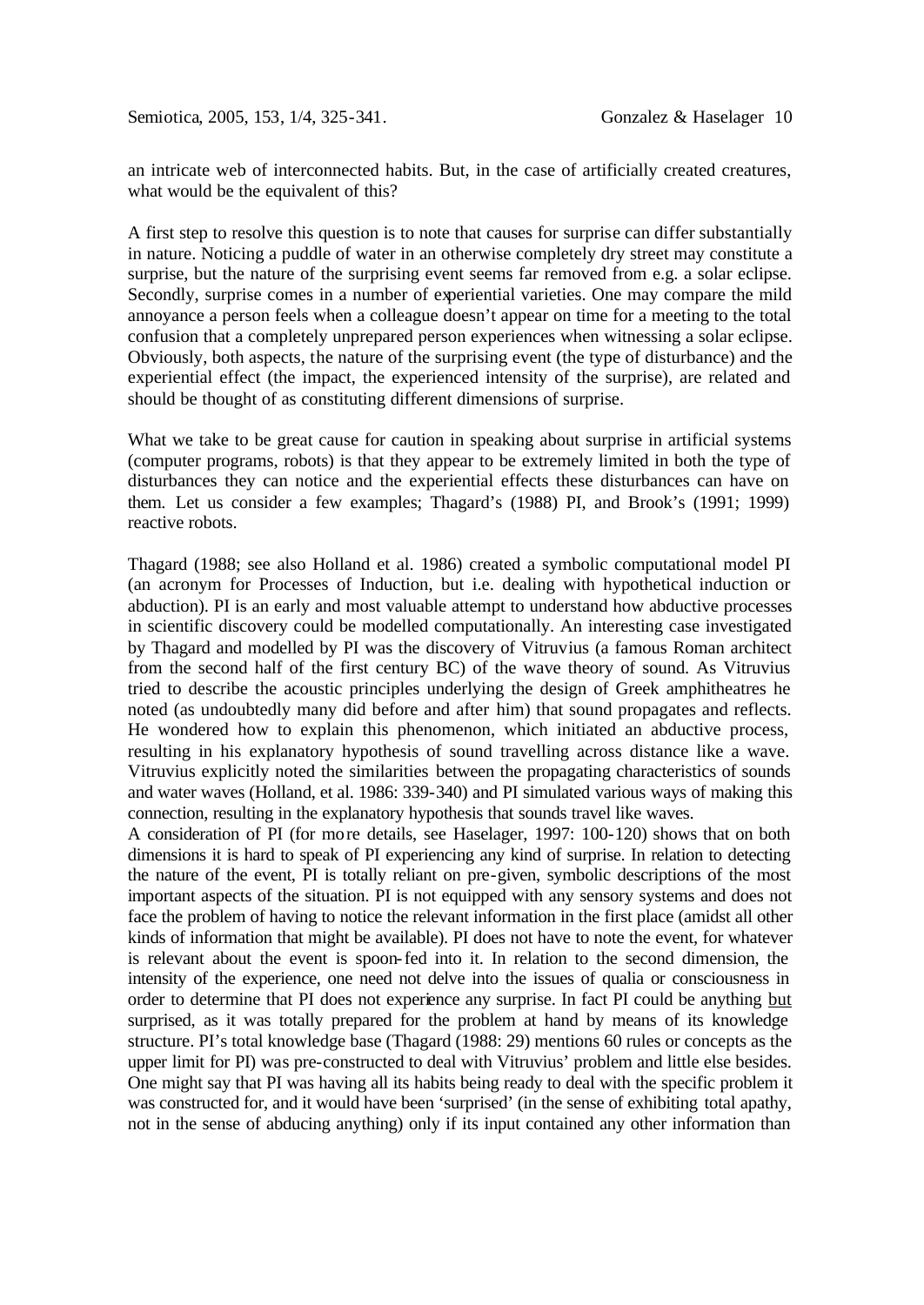an intricate web of interconnected habits. But, in the case of artificially created creatures, what would be the equivalent of this?

A first step to resolve this question is to note that causes for surprise can differ substantially in nature. Noticing a puddle of water in an otherwise completely dry street may constitute a surprise, but the nature of the surprising event seems far removed from e.g. a solar eclipse. Secondly, surprise comes in a number of experiential varieties. One may compare the mild annoyance a person feels when a colleague doesn't appear on time for a meeting to the total confusion that a completely unprepared person experiences when witnessing a solar eclipse. Obviously, both aspects, the nature of the surprising event (the type of disturbance) and the experiential effect (the impact, the experienced intensity of the surprise), are related and should be thought of as constituting different dimensions of surprise.

What we take to be great cause for caution in speaking about surprise in artificial systems (computer programs, robots) is that they appear to be extremely limited in both the type of disturbances they can notice and the experiential effects these disturbances can have on them. Let us consider a few examples; Thagard's (1988) PI, and Brook's (1991; 1999) reactive robots.

Thagard (1988; see also Holland et al. 1986) created a symbolic computational model PI (an acronym for Processes of Induction, but i.e. dealing with hypothetical induction or abduction). PI is an early and most valuable attempt to understand how abductive processes in scientific discovery could be modelled computationally. An interesting case investigated by Thagard and modelled by PI was the discovery of Vitruvius (a famous Roman architect from the second half of the first century BC) of the wave theory of sound. As Vitruvius tried to describe the acoustic principles underlying the design of Greek amphitheatres he noted (as undoubtedly many did before and after him) that sound propagates and reflects. He wondered how to explain this phenomenon, which initiated an abductive process, resulting in his explanatory hypothesis of sound travelling across distance like a wave. Vitruvius explicitly noted the similarities between the propagating characteristics of sounds and water waves (Holland, et al. 1986: 339-340) and PI simulated various ways of making this connection, resulting in the explanatory hypothesis that sounds travel like waves.

A consideration of PI (for more details, see Haselager, 1997: 100-120) shows that on both dimensions it is hard to speak of PI experiencing any kind of surprise. In relation to detecting the nature of the event, PI is totally reliant on pre-given, symbolic descriptions of the most important aspects of the situation. PI is not equipped with any sensory systems and does not face the problem of having to notice the relevant information in the first place (amidst all other kinds of information that might be available). PI does not have to note the event, for whatever is relevant about the event is spoon-fed into it. In relation to the second dimension, the intensity of the experience, one need not delve into the issues of qualia or consciousness in order to determine that PI does not experience any surprise. In fact PI could be anything but surprised, as it was totally prepared for the problem at hand by means of its knowledge structure. PI's total knowledge base (Thagard (1988: 29) mentions 60 rules or concepts as the upper limit for PI) was pre-constructed to deal with Vitruvius' problem and little else besides. One might say that PI was having all its habits being ready to deal with the specific problem it was constructed for, and it would have been 'surprised' (in the sense of exhibiting total apathy, not in the sense of abducing anything) only if its input contained any other information than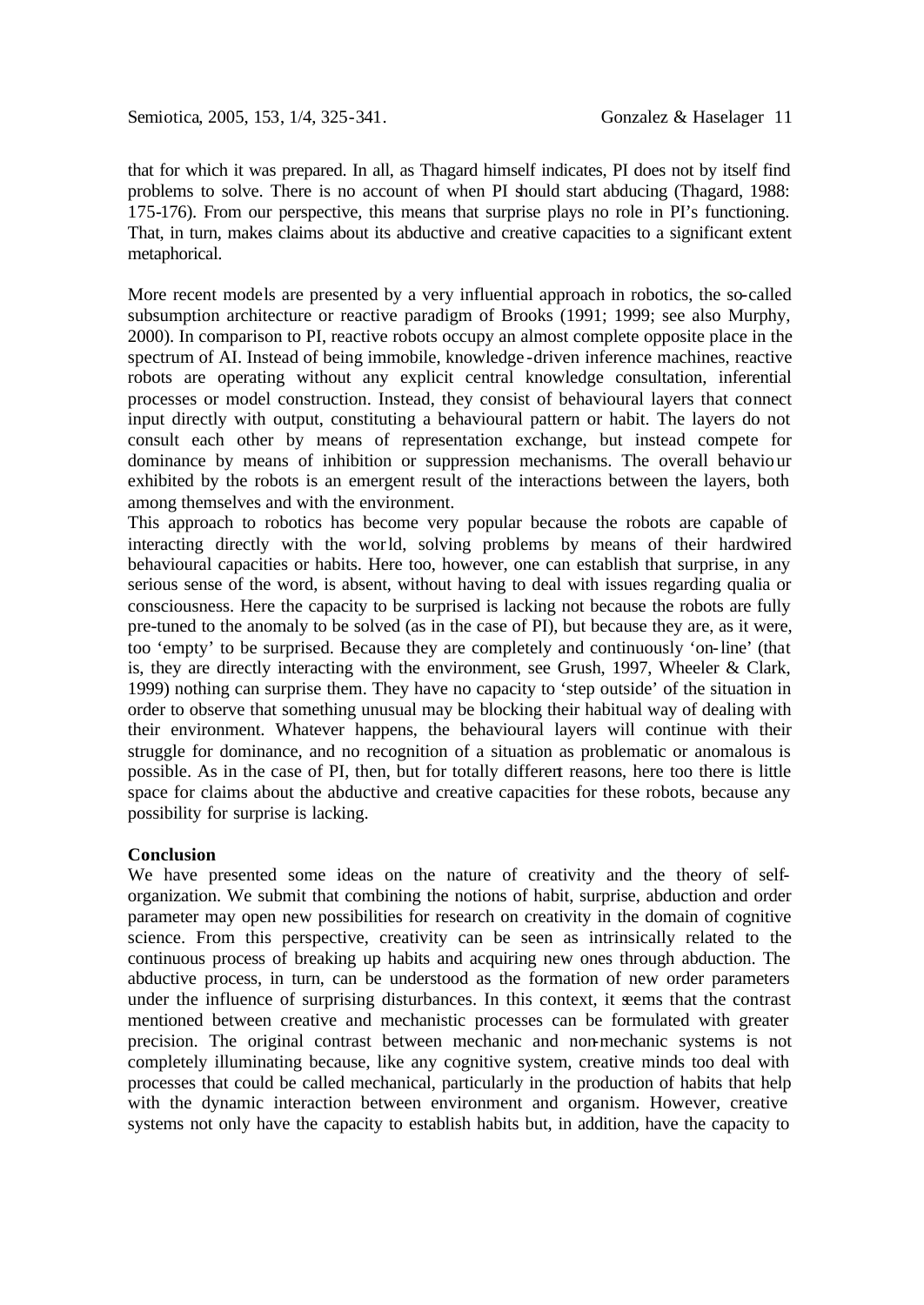that for which it was prepared. In all, as Thagard himself indicates, PI does not by itself find problems to solve. There is no account of when PI should start abducing (Thagard, 1988: 175-176). From our perspective, this means that surprise plays no role in PI's functioning. That, in turn, makes claims about its abductive and creative capacities to a significant extent metaphorical.

More recent models are presented by a very influential approach in robotics, the so-called subsumption architecture or reactive paradigm of Brooks (1991; 1999; see also Murphy, 2000). In comparison to PI, reactive robots occupy an almost complete opposite place in the spectrum of AI. Instead of being immobile, knowledge -driven inference machines, reactive robots are operating without any explicit central knowledge consultation, inferential processes or model construction. Instead, they consist of behavioural layers that connect input directly with output, constituting a behavioural pattern or habit. The layers do not consult each other by means of representation exchange, but instead compete for dominance by means of inhibition or suppression mechanisms. The overall behaviour exhibited by the robots is an emergent result of the interactions between the layers, both among themselves and with the environment.

This approach to robotics has become very popular because the robots are capable of interacting directly with the world, solving problems by means of their hardwired behavioural capacities or habits. Here too, however, one can establish that surprise, in any serious sense of the word, is absent, without having to deal with issues regarding qualia or consciousness. Here the capacity to be surprised is lacking not because the robots are fully pre-tuned to the anomaly to be solved (as in the case of PI), but because they are, as it were, too 'empty' to be surprised. Because they are completely and continuously 'on-line' (that is, they are directly interacting with the environment, see Grush, 1997, Wheeler & Clark, 1999) nothing can surprise them. They have no capacity to 'step outside' of the situation in order to observe that something unusual may be blocking their habitual way of dealing with their environment. Whatever happens, the behavioural layers will continue with their struggle for dominance, and no recognition of a situation as problematic or anomalous is possible. As in the case of PI, then, but for totally different reasons, here too there is little space for claims about the abductive and creative capacities for these robots, because any possibility for surprise is lacking.

## **Conclusion**

We have presented some ideas on the nature of creativity and the theory of selforganization. We submit that combining the notions of habit, surprise, abduction and order parameter may open new possibilities for research on creativity in the domain of cognitive science. From this perspective, creativity can be seen as intrinsically related to the continuous process of breaking up habits and acquiring new ones through abduction. The abductive process, in turn, can be understood as the formation of new order parameters under the influence of surprising disturbances. In this context, it seems that the contrast mentioned between creative and mechanistic processes can be formulated with greater precision. The original contrast between mechanic and non-mechanic systems is not completely illuminating because, like any cognitive system, creative minds too deal with processes that could be called mechanical, particularly in the production of habits that help with the dynamic interaction between environment and organism. However, creative systems not only have the capacity to establish habits but, in addition, have the capacity to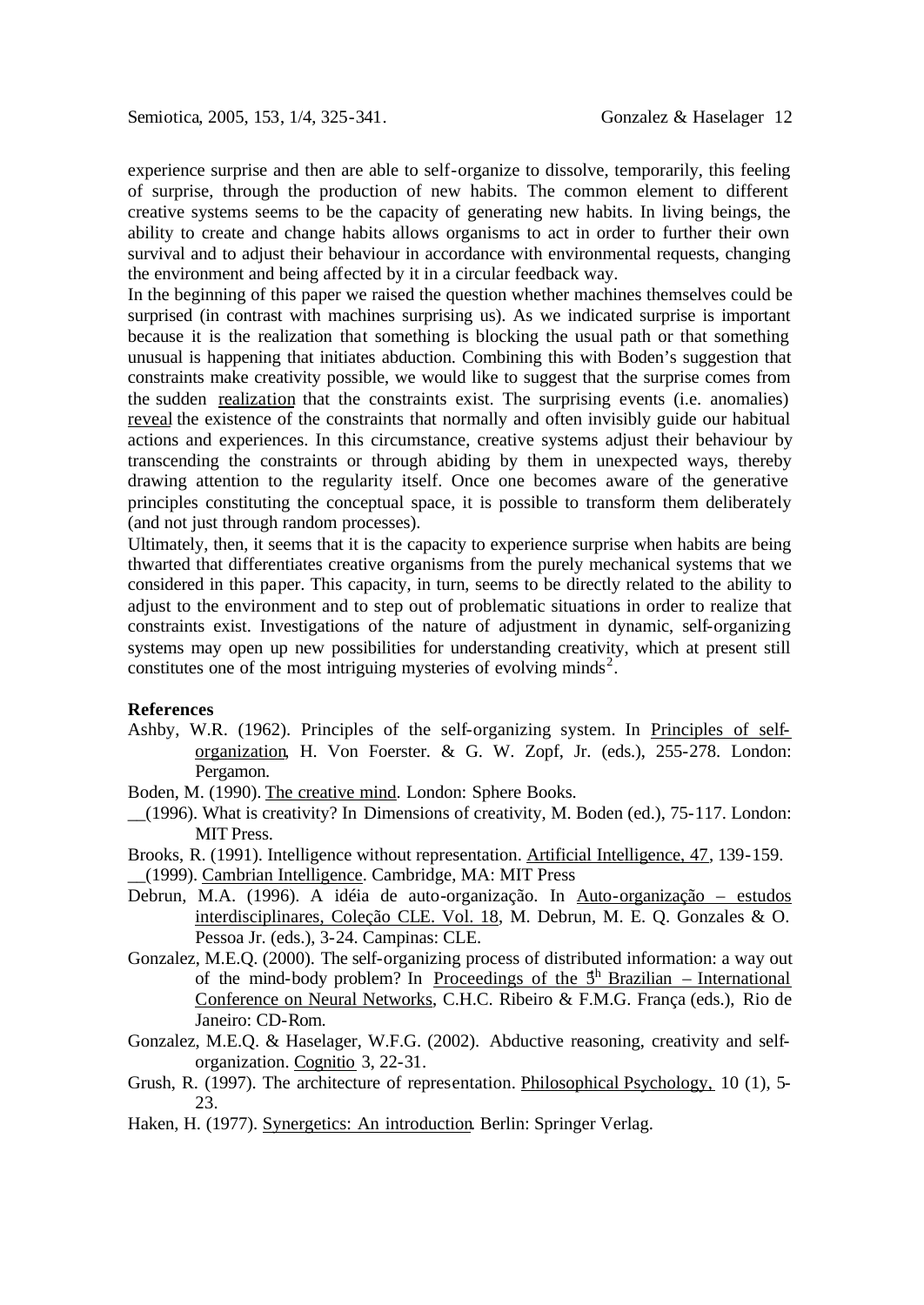experience surprise and then are able to self-organize to dissolve, temporarily, this feeling of surprise, through the production of new habits. The common element to different creative systems seems to be the capacity of generating new habits. In living beings, the ability to create and change habits allows organisms to act in order to further their own survival and to adjust their behaviour in accordance with environmental requests, changing the environment and being affected by it in a circular feedback way.

In the beginning of this paper we raised the question whether machines themselves could be surprised (in contrast with machines surprising us). As we indicated surprise is important because it is the realization that something is blocking the usual path or that something unusual is happening that initiates abduction. Combining this with Boden's suggestion that constraints make creativity possible, we would like to suggest that the surprise comes from the sudden realization that the constraints exist. The surprising events (i.e. anomalies) reveal the existence of the constraints that normally and often invisibly guide our habitual actions and experiences. In this circumstance, creative systems adjust their behaviour by transcending the constraints or through abiding by them in unexpected ways, thereby drawing attention to the regularity itself. Once one becomes aware of the generative principles constituting the conceptual space, it is possible to transform them deliberately (and not just through random processes).

Ultimately, then, it seems that it is the capacity to experience surprise when habits are being thwarted that differentiates creative organisms from the purely mechanical systems that we considered in this paper. This capacity, in turn, seems to be directly related to the ability to adjust to the environment and to step out of problematic situations in order to realize that constraints exist. Investigations of the nature of adjustment in dynamic, self-organizing systems may open up new possibilities for understanding creativity, which at present still constitutes one of the most intriguing mysteries of evolving minds<sup>2</sup>.

#### **References**

- Ashby, W.R. (1962). Principles of the self-organizing system. In Principles of selforganization, H. Von Foerster. & G. W. Zopf, Jr. (eds.), 255-278. London: Pergamon.
- Boden, M. (1990). The creative mind. London: Sphere Books.
- \_\_(1996). What is creativity? In Dimensions of creativity, M. Boden (ed.), 75-117. London: MIT Press.
- Brooks, R. (1991). Intelligence without representation. Artificial Intelligence, 47, 139-159. \_\_(1999). Cambrian Intelligence. Cambridge, MA: MIT Press
- Debrun, M.A. (1996). A idéia de auto-organização. In Auto-organização estudos interdisciplinares, Coleção CLE. Vol. 18, M. Debrun, M. E. Q. Gonzales & O. Pessoa Jr. (eds.), 3-24. Campinas: CLE.
- Gonzalez, M.E.Q. (2000). The self-organizing process of distributed information: a way out of the mind-body problem? In Proceedings of the  $5<sup>h</sup>$  Brazilian – International Conference on Neural Networks, C.H.C. Ribeiro & F.M.G. França (eds.), Rio de Janeiro: CD-Rom.
- Gonzalez, M.E.Q. & Haselager, W.F.G. (2002). Abductive reasoning, creativity and selforganization. Cognitio 3, 22-31.
- Grush, R. (1997). The architecture of representation. Philosophical Psychology, 10 (1), 5- 23.
- Haken, H. (1977). Synergetics: An introduction. Berlin: Springer Verlag.